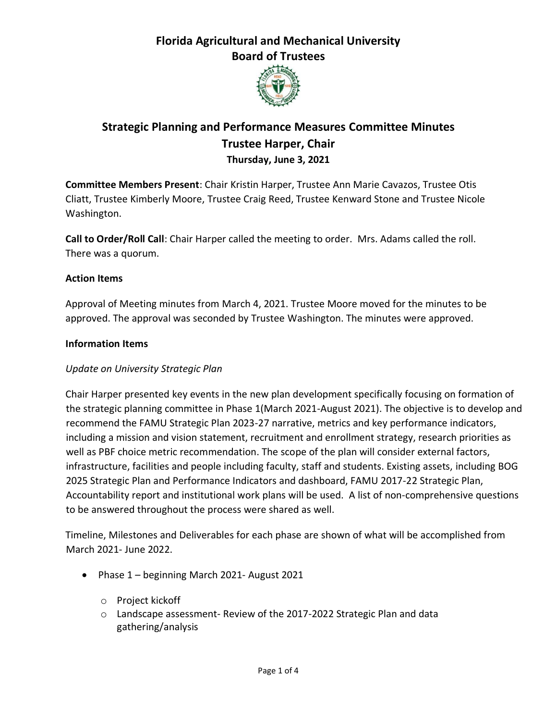

# **Strategic Planning and Performance Measures Committee Minutes Trustee Harper, Chair Thursday, June 3, 2021**

**Committee Members Present**: Chair Kristin Harper, Trustee Ann Marie Cavazos, Trustee Otis Cliatt, Trustee Kimberly Moore, Trustee Craig Reed, Trustee Kenward Stone and Trustee Nicole Washington.

**Call to Order/Roll Call**: Chair Harper called the meeting to order. Mrs. Adams called the roll. There was a quorum.

#### **Action Items**

Approval of Meeting minutes from March 4, 2021. Trustee Moore moved for the minutes to be approved. The approval was seconded by Trustee Washington. The minutes were approved.

#### **Information Items**

### *Update on University Strategic Plan*

Chair Harper presented key events in the new plan development specifically focusing on formation of the strategic planning committee in Phase 1(March 2021-August 2021). The objective is to develop and recommend the FAMU Strategic Plan 2023-27 narrative, metrics and key performance indicators, including a mission and vision statement, recruitment and enrollment strategy, research priorities as well as PBF choice metric recommendation. The scope of the plan will consider external factors, infrastructure, facilities and people including faculty, staff and students. Existing assets, including BOG 2025 Strategic Plan and Performance Indicators and dashboard, FAMU 2017-22 Strategic Plan, Accountability report and institutional work plans will be used. A list of non-comprehensive questions to be answered throughout the process were shared as well.

Timeline, Milestones and Deliverables for each phase are shown of what will be accomplished from March 2021- June 2022.

- Phase 1 beginning March 2021- August 2021
	- o Project kickoff
	- o Landscape assessment- Review of the 2017-2022 Strategic Plan and data gathering/analysis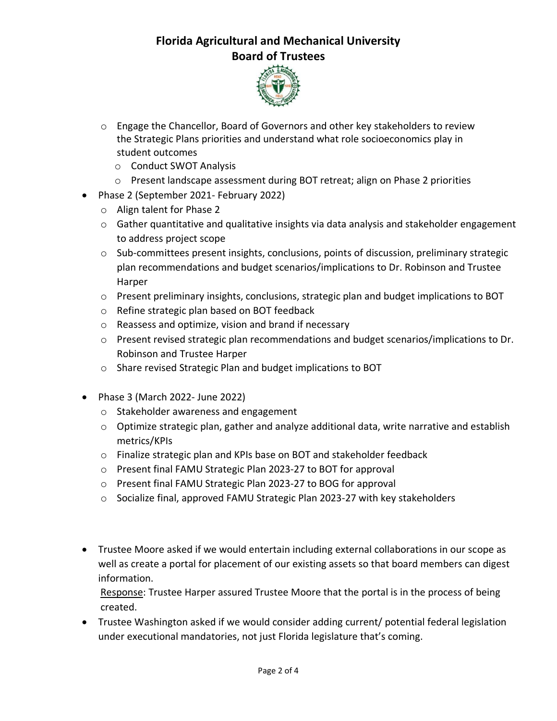

- o Engage the Chancellor, Board of Governors and other key stakeholders to review the Strategic Plans priorities and understand what role socioeconomics play in student outcomes
	- o Conduct SWOT Analysis
	- o Present landscape assessment during BOT retreat; align on Phase 2 priorities
- Phase 2 (September 2021- February 2022)
	- o Align talent for Phase 2
	- o Gather quantitative and qualitative insights via data analysis and stakeholder engagement to address project scope
	- o Sub-committees present insights, conclusions, points of discussion, preliminary strategic plan recommendations and budget scenarios/implications to Dr. Robinson and Trustee Harper
	- o Present preliminary insights, conclusions, strategic plan and budget implications to BOT
	- o Refine strategic plan based on BOT feedback
	- o Reassess and optimize, vision and brand if necessary
	- o Present revised strategic plan recommendations and budget scenarios/implications to Dr. Robinson and Trustee Harper
	- o Share revised Strategic Plan and budget implications to BOT
- Phase 3 (March 2022- June 2022)
	- o Stakeholder awareness and engagement
	- $\circ$  Optimize strategic plan, gather and analyze additional data, write narrative and establish metrics/KPIs
	- o Finalize strategic plan and KPIs base on BOT and stakeholder feedback
	- o Present final FAMU Strategic Plan 2023-27 to BOT for approval
	- o Present final FAMU Strategic Plan 2023-27 to BOG for approval
	- o Socialize final, approved FAMU Strategic Plan 2023-27 with key stakeholders
- Trustee Moore asked if we would entertain including external collaborations in our scope as well as create a portal for placement of our existing assets so that board members can digest information.

Response: Trustee Harper assured Trustee Moore that the portal is in the process of being created.

• Trustee Washington asked if we would consider adding current/ potential federal legislation under executional mandatories, not just Florida legislature that's coming.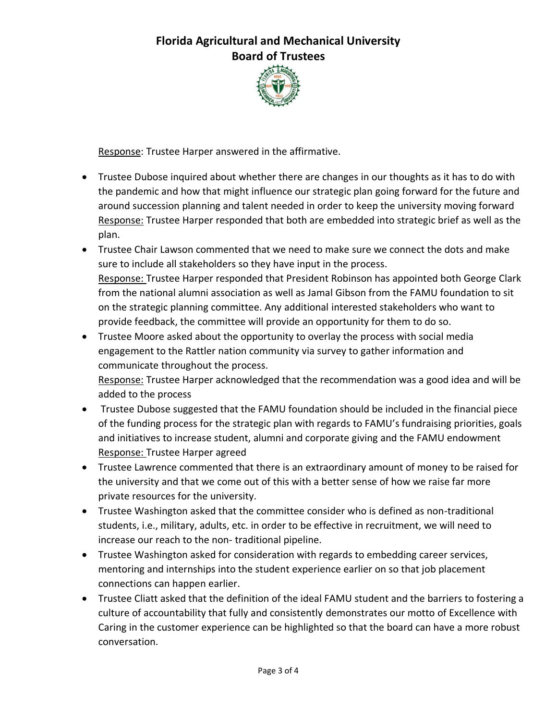

Response: Trustee Harper answered in the affirmative.

- Trustee Dubose inquired about whether there are changes in our thoughts as it has to do with the pandemic and how that might influence our strategic plan going forward for the future and around succession planning and talent needed in order to keep the university moving forward Response: Trustee Harper responded that both are embedded into strategic brief as well as the plan.
- Trustee Chair Lawson commented that we need to make sure we connect the dots and make sure to include all stakeholders so they have input in the process. Response: Trustee Harper responded that President Robinson has appointed both George Clark from the national alumni association as well as Jamal Gibson from the FAMU foundation to sit on the strategic planning committee. Any additional interested stakeholders who want to provide feedback, the committee will provide an opportunity for them to do so.
- Trustee Moore asked about the opportunity to overlay the process with social media engagement to the Rattler nation community via survey to gather information and communicate throughout the process.

Response: Trustee Harper acknowledged that the recommendation was a good idea and will be added to the process

- Trustee Dubose suggested that the FAMU foundation should be included in the financial piece of the funding process for the strategic plan with regards to FAMU's fundraising priorities, goals and initiatives to increase student, alumni and corporate giving and the FAMU endowment Response: Trustee Harper agreed
- Trustee Lawrence commented that there is an extraordinary amount of money to be raised for the university and that we come out of this with a better sense of how we raise far more private resources for the university.
- Trustee Washington asked that the committee consider who is defined as non-traditional students, i.e., military, adults, etc. in order to be effective in recruitment, we will need to increase our reach to the non- traditional pipeline.
- Trustee Washington asked for consideration with regards to embedding career services, mentoring and internships into the student experience earlier on so that job placement connections can happen earlier.
- Trustee Cliatt asked that the definition of the ideal FAMU student and the barriers to fostering a culture of accountability that fully and consistently demonstrates our motto of Excellence with Caring in the customer experience can be highlighted so that the board can have a more robust conversation.